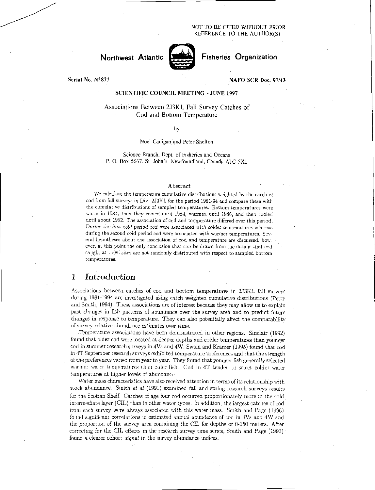#### NOT TO BE CITED WITHOUT PRIOR REFERENCE TO THE AUTHOR(S)



Fisheries Organization

Serial No. N2877

#### NAFO SCR Doc. 97/43

### SCIENTIFIC COUNCIL MEETING - JUNE 1997

### Associations Between 2J3KL Fall Survey Catches of Cod and Bottom Temperature

#### by

#### Noel Cadigan and Peter Shelton

Science Branch, Dept. of Fisheries and Oceans P. 0. Box 5667, St. John's, Newfoundland, Canada AIC 5X1

#### Abstract

We calculate the temperature cumulative distributions weighted by the catch of cod from fall surveys in Div. 2J3KL for the period 1981-94 and compare these with the cumulative distributions of sampled temperatures. Bottom temperatures were warm in 1981, then they cooled until 1984, warmed until 1986, and then cooled until about 1992. The association of cod and temperature differed over this period. *During the first* cold *period cod were* associated with colder temperatures whereas during the second cold period cod were associated with warmer temperatures. Several hypotheses about the association of cod and temperature are discussed; however, at this point the only conclusion that can be drawn from the data is that cod caught at trawl sites are not randomly distributed with respect to sampled bottom temperatures.

# 1 Introduction

Associations between catches of cod and bottom temperatures in 2.13KL fall surveys during 1981-1994 are investigated using catch weighted cumulative distributions (Perry and Smith, 1994). These associations are of interest because they may allow us to explain past changes in fish patterns of abundance over the survey area and to predict future changes in response to temperature. They can also potentially affect the comparability of survey relative abundance *estimates* over time.

Temperature associations have been demonstrated in other regions. Sinclair (1992) found that older cod were located at deeper depths and colder temperatures than younger cod in summer research surveys in 4Vs and 4W. Swain and Kramer (1995) found that cod in 4T September research surveys exhibited temperature preferences and that the strength of the preferences varied from year to year. They found that younger fish generally selected Wanner water temperatures than older fish. Cod in 4T tended to select colder water temperatures at higher levels of abundance.

Water mass characteristics have also received attention in terms of its relationship with stock abundance. Smith et *at* (1991) examined fall and spring research surveys results for the Scotian Shelf. Catches of age four cod occurred proportionately more in the cold intermediate layer (CIL) than in other water types. In addition, the largest catches of cod from each survey were always associated with this water mass. Smith and Page (1996) found significant correlations in estimated annual abundance of cod in 4Vs and 4W and the proportion of the survey area containing the CIL for depths of 0-150 meters. After correcting for the CIL effects in the research survey time series; Smith and Page (1996) found a clearer cohort *signal* in the survey abundance indices.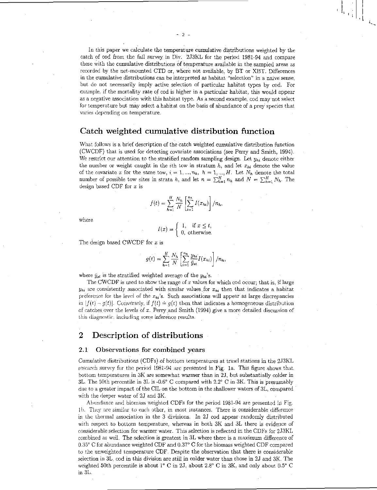In this paper we calculate the temperature cumulative distributions weighted by the catch of cod from the fall survey in Div. 2J3KL for the period 1981-94 and compare these with the cumulative distributions of temperature available in the sampled areas as recorded by the net-mounted CTD or, where not available, by BT or XBT. Differences in the cumulative distributions can be interpreted as habitat "selection" in a naive sense. but do not necessarily imply active selection of particular habitat types by cod. For example, if the mortality rate of cod is higher in a particular habitat, this would appear as a negative association with this habitat type. As a second example, cod may not select for temperature but may select a habitat on the basis of abundance of a prey species that varies depending on temperature.

## Catch weighted cumulative distribution function

What follows is a brief description of the catch weighted cumulative distribution function (CWCDF) that is used for detecting covariate associations (see Perry and Smith, 1994). We restrict our attention to the stratified random sampling design. Let  $y_{hi}$  denote either the number or weight caught in the *i*th tow in stratum  $h$ , and let  $x_{hi}$  denote the value of the covariate x for the same tow,  $i = 1, ..., n_h$ ,  $h = 1, ..., H$ . Let  $N_h$  denote the total number of possible tow sites in strata h, and let  $n = \sum_{h=1}^{H} n_h$  and  $N = \sum_{h=1}^{H} N_h$ . The design based CDF for *x* is

$$
f(t) = \sum_{h=1}^{H} \frac{N_h}{N} \left[ \sum_{i=1}^{n_h} I(x_{hi}) \right] / n_h,
$$

where

$$
I(x) = \begin{cases} 1, & \text{if } x \leq t, \\ 0, & \text{otherwise.} \end{cases}
$$

The design based CWCDF for x is

$$
g(t) = \sum_{h=1}^{H} \frac{N_h}{N} \left[ \sum_{i=1}^{n_h} \frac{y_{hi}}{\bar{y}_{st}} I(x_{hi}) \right] / n_h,
$$

where  $\bar{y}_{st}$  is the stratified weighted average of the  $y_{ti}$ 's.

The CWCDF is used to show the range of x values for which cod occur; that is, if large  $y_{hi}$  are consistently associated with similar values for  $x_{hi}$  then that indicates a habitat preference for the level of the  $x_{hi}$ 's. Such associations will appear as large discrepancies in  $|f(t) - g(t)|$ . Conversely, if  $f(t) = g(t)$  then that indicates a homogeneous distribution of catches over the levels of *x.* Perry and Smith (1994) give a more detailed discussion of this diagnostic, including some inference results.

# 2 Description of distributions

#### 2.1 Observations for combined years

Cumulative distributions (CDFs) of bottom temperatures at trawl stations in the 2J3KL research survey for the period 1981-94 arc presented in Fig. la. This figure shows that bottom temperatures in 3K are somewhat warmer than in 2J, but substantially colder in 3L. The 50th percentile in 3L is -0.6' C compared with 2.2° C in 3K. This is presumably due to a greater impact of the CIL on the bottom in the shallower waters of 3L, compared with the deeper water of 2J and 3K.

Abundance and biomass weighted CDFs for the period 1981-94 are presented *in*  lb. They are similar to each other, in most instances. There is considerable difference in the thermal association in the 3 divisions. In 2J cod appear randomly distributed with respect to bottom temperature, whereas in both 3K and 3L there is evidence of considerable selection for warmer water. This selection is reflected in the CDFs for 2J3KL combined as well. The selection is greatest in 3L where there is a maximum difference of 0.35° C for abundance weighted CDF and 0.37° C for the biomass weighted CDF compared to the unweighted temperature CDF. Despite the observation that there is considerable selection in 3L, cod in this division are still in colder water than those in 2J and 3K. The weighted 50th percentile is about  $1^{\circ}$  C in 2J, about 2.8° C in 3K, and only about 0.5° C in 3L.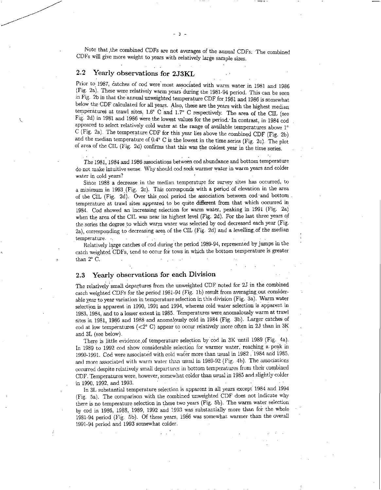Note that the combined CDFs are not averages of the annual CDFs: The combined CDFs will give more weight to years with relatively large sample sizes.

### 2.2 Yearly observations for 2J3KL

Prior to 1987, catches of cod were most associated with warm water in 1981 and 1986 (Fig. 2a). These were relatively warm years during the 1981-94 period. This can be seen in Fig. 2b in that the annual unweighted temperature CDF for 1981 and 1986 is somewhat below the CDF calculated for all years. Also, these are the years with the highest median temperatures at trawl sites,  $1.6^{\circ}$  C and  $1.7^{\circ}$  C respectively. The area of the CIL (see Fig. 2d) in 1981 and 1986 Were the lowest values for the period.. In contrast, in 1984 cod appeared to select relatively cold water at the range of available temperatures above 1° C (Fig. 2a). The temperature CDF for this year lies above the combined CDF (Fig. 2b) and the median temperature of 0.4° C is the lowest in the time series (Fig. 2c). The plot of area of the CIL (Fig. 2d) confirms that this *was* the coldest year in the time series.

The 1981, 1984 and 1986 associations between cod abundance and bottom temperature do not make intuitive sense. Why should cod seek warmer water in warm years and colder water in cold years?

Since 1988 a decrease in the median temperature for survey sites has occurred, to a minimum in 1993 (Fig. 2c). This corresponds with a period of elevation in the area of the CIL (Fig. 2d). Over this cool period the association between cod 'and bottom temperature at trawl sites appeared to be quite different from that which occurred in 1984. Cod showed an increasing selection for warm water, peaking in 1991 (Fig. 2a) when the area of the CIL was near its highest level (Fig. 2d). For the last three years of the series the degree to which warm water was selected by cod decreased each year (Fig. 2a), corresponding to decreasing area of the CIL (Fig. 2d) and a levelling of the median temperature. .. •

Relatively large catches of cod during the period 1989-94, represented by jumps in the catch weighted CDFs, tend to occur for tows in which the bottom temperature is greater than 2° C.

### 2.3 Yearly observations for each Division

The relatively small departures from the unweighted CDF noted for 2J in the combined catch weighted CDFs for the period 1981-94 (Fig. lb) result from averaging out considerable year to year variation in temperature selection in this division (Fig. 3a). Warm water selection is apparent in 1990, 1991 and 1994, whereas cold water selection is apparent in 1983, 1984, and to a lesser extent in 1985. Temperatures were anomalously warm at trawl sites in 1981, 1986 and 1988 and anomalously cold in 1984 (Fig. 3b). Larger catches of cod at low temperatures ( $\langle 2^{\circ}$  C) appear to occur relatively more often in 2J than in 3K and 3L (see below).

There is little evidence of temperature selection by cod in 3K until 1989 (Fig. 4a). In 1989 to 1992 cod show considerable selection for warmer water; reaching a peak in 1990-1991. Cod were associated with cold water more than usual in 1982 , 1984 and 1985, and more associated with warm water than usual in 1989-92 (Fig. 4b). The associations occurred despite relatively small departures in bottom temperatures from their combined CDF. Temperatures were, however, somewhat colder than usual in 1985 and slightly colder in 1990, 1992, and 1993.<br>In 1990, 1992, and 1993.<br>In <sup>21</sup> substantial temperature selection is apparent in all years except 1984 and 1

In 3L substantial temperature selection is apparent in all years except 1984 and 1994 (Fig. 5a). The comparison with the combined unweighted CDF does not indicate why there is no temperature selection in these two years (Fig. 5b). The warm water selection by cod in 1986, 1988, 1989, 1992 and 1993 was substantially more than for the whole 1981-94 period (Fig. 5b). Of these years, 1986 was somewhat warmer than the overall 1991-94 period and 1993 somewhat colder.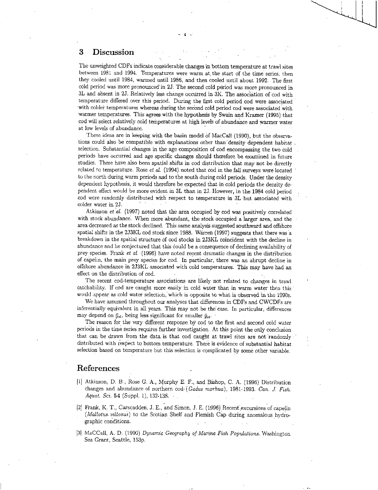## 3 Discussion

The unweighted CDFs indicate considerable changes in bottom temperature at trawl sites between 1981 and 1994. Temperatures were warm at the start of the time series, then they cooled until 1984, warmed until 1986, and then cooled until about 1992. The first cold period was.more pronounced' in 2J. The second cold period was more pronounced in 3L and absent in 23. Relatively less change occurred in 3K. The association of cod with temperature differed over this period. During the first cold period cod were associated with coldei temperatures whereas during the second cold period cod were associated with warmer temperatures. This agrees with the hypothesis by Swain and Kramer (1995) that cod will select relatively cold temperatures at high levels of abundance and warmer water at low levels of abundance.

These ideas are in keeping with the basin model of MacCall (1990), but the observations could also be compatible with explanations other than density dependent habitat selection. Substantial changes in the age composition of cod encompassing the two cold periods have occurred and age specific changes should therefore be examined in future studies. There have also been spatial shifts in cod distribution that may not be directly related to temperature. Rose *et al.* (1994) noted that cod in the fall surveys were located to the north during warm periods and to the south during cold periods. Under the density dependent hypothesis, it would therefore be expected that in cold periods the density dependent effect would be more evident in 3L than in 2J. However, in the 1984 cold period cod were randomly distributed with respect to temperature in 3L but associated with colder water in 2J.

Atkinson *et al.* (1997) noted that the area occupied by cod was positively correlated with stock abundance'. When more abundant, the stock occupied a larger area, and the area decreased *as* the stock declined. This same analysis suggested southward and offshore spatial shifts in the 2J3KL cod stock since 1988. Warren (1997) suggests that there was a breakdown in the spatial structure of cod stocks in 2J3KL coincident with the decline in abundance and he conjectured that this could be a consequence of declining availability of prey species. Frank *et al.* (1996) have noted recent dramatic changes in the distribution of capelin, the main prey species for cod. In particular, there was an abrupt decline in offshore abundance in 2J3KL associated with cold temperatures. This may have had an effect on the distribution of cod.

The recent cod-temperature associations are likely not related to changes in trawl catchability. If cod are caught more easily in cold water than in warm water then this would appear as cold water selectioh, which is opposite to what is observed in the 1990s.

We have assumed throughout our analyses that differences in CDFs and CWCDFs are inferentially equivalent in all years. This may not be the case. In particular, differences may depend on  $\bar{y}_{st}$ , being less significant for smaller  $\bar{y}_{st}$ .

The reason for the very different response by cod to the first and second cold water periods in the time series requires further investigation. At this point the only conclusion that can be drawn from the data is that cod caught at trawl sites are not randomly • distributed with respect to bottom temperature. There is evidence of substantial habitat selection based on temperature but this selection is complicated by some other variable.

# References

- [1] Atkinson, D. B., Rose G. A., Murphy E. F., and Bishop, C. A. (1996) Distribution changes and abundance of northern cod- *(Codas morhua),* 1981-1993. *Can. J. Fish. Aquat. Sci.* 54 (Suppl. 1), 132-138.
- l21 Frank, K. T., Carscadden, J. E., and Simon, J. E. (1996) Recent excursions of capelin (Mallotus. villosus) to the Scotian Shelf and Flemish Cap during anomalous hydrographic conditions.
- (31 MaCCall, A. D. (1990) Dynamic Geography of Marine *Fish Populations.* Washington Sea Grant, Seattle, 153p.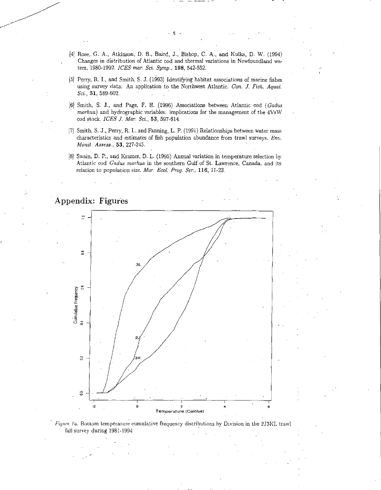- [4[ Rose, G. A., Atkinson, D. B., Baird, J., Bishop, C. A., and Kulka, D. W. (1994) Changes in distribution of Atlantic cod and thermal variations in Newfoundland waters, 1980-1992. *ICES* mar. *Sci. Symp.,* 198, 542-552.
- [5[ Perry, R. I., and Smith, S. J. (1993) Identifying habitat associations of marine fishes using survey data: An application to the Northwest Atlantic. *Can. J. Fish. Aquat. Sci.,* 51, 589-602.
- [6] Smith, S. J., and Page, F. H. (1996) Associations between Atlantic cod *(Gadus morhua)* and hydrographic variables: implications for the management of the 4VsW cod stock. *ICES J. Mar. Sci.,* 53, 597-614.
- [7] Smith, S. J., Perry, R. 1., and Fanning, L. P. (1991) Relationships between water mass characteristics and estimates. of fish population abundance from trawl surveys. *Env. Monit. Assess.,* 53, 227-245.
- [8] Swain, D. P., and Kramer, D. L. (1995) Annual variation in temperature selection by Atlantic cod *Gadus morhua* in the southern Gulf of St. Lawrence, Canada, and its relation to population size. *Mar. Ecol. Frog. Ser.,* 116, 11-23.



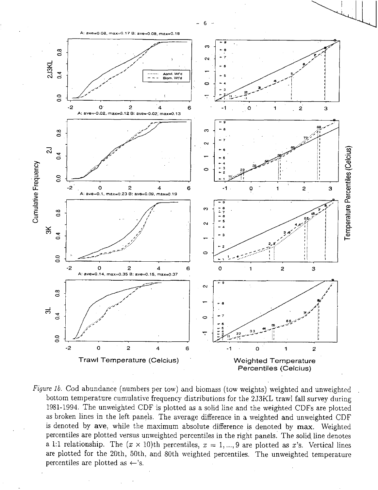

*Figure lb.* Cod abundance (numbers per tow) and biomass (tow weights) weighted and unweighted bottom temperature cumulative frequency distributions for the 2J3KL trawl fall survey during 1981-1994. The unweighted CDF is plotted as a solid line and the weighted CDFs are plotted as broken lines in the left panels. The average difference in a weighted and unweighted CDF is denoted by aye, while the maximum absolute difference is denoted by max. Weighted percentiles are plotted versus unweighted percentiles in the right panels. The solid line denotes a 1:1 relationship. The  $(x \times 10)$ th percentiles,  $x = 1, ..., 9$  are plotted as x's. Vertical lines are plotted for the 20th, 50th, and 80th weighted percentiles. The unweighted temperature percentiles are plotted as  $\leftarrow$ 's.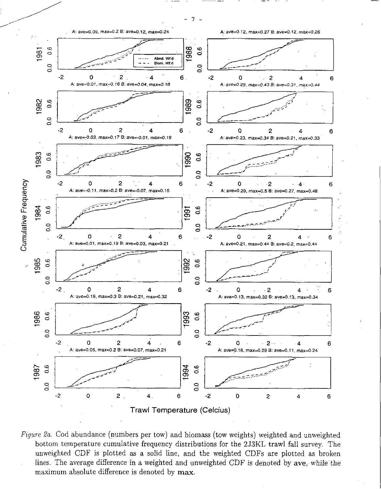$-7 -$ 



*Figure 2a.* Cod abundance (numbers per tow) and biomass (tow weights) weighted and unweighted bottom temperature cumulative frequency distributions for the 2J3KL trawl fall survey. The unweighted CDF is plotted as a solid line, and the weighted CDFs are plotted as broken lines. The average difference in a weighted and unweighted CDF is denoted by ave, while the maximum absolute difference is denoted by max.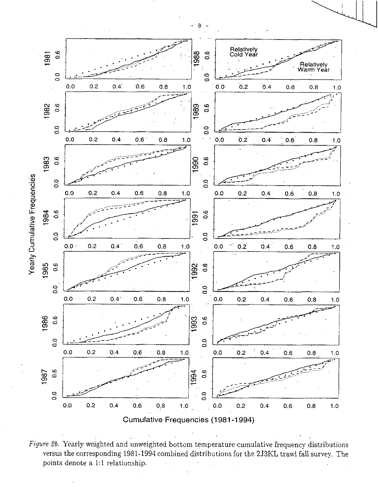

Figure 2b. Yearly weighted and unweighted bottom temperature cumulative frequency distributions versus the corresponding 1981-1994 combined distributions for the 2J3KL trawl fall survey. The points denote a 1:1 relationship.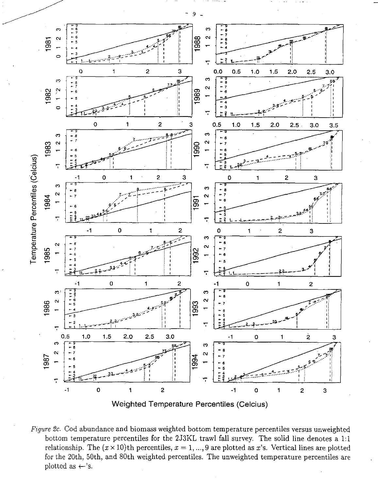

*Figure 2c.* Cod abundance and biomass weighted bottom temperature percentiles versus unweighted bottom temperature percentiles for the 2J3KL trawl fall survey. The solid line denotes a 1:1 relationship. The  $(x \times 10)$ th percentiles,  $x = 1, ..., 9$  are plotted as x's. Vertical lines are plotted for the 20th, 50th, and 80th weighted percentiles. The unweighted temperature percentiles are plotted as  $\leftarrow$ 's.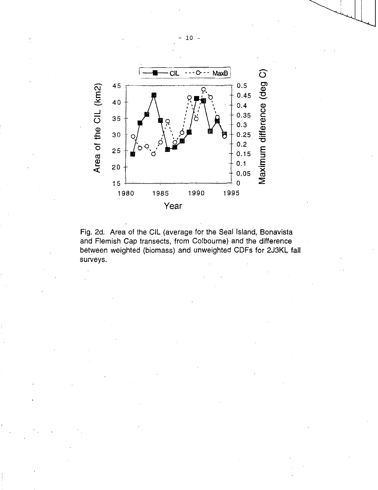



### - 10 -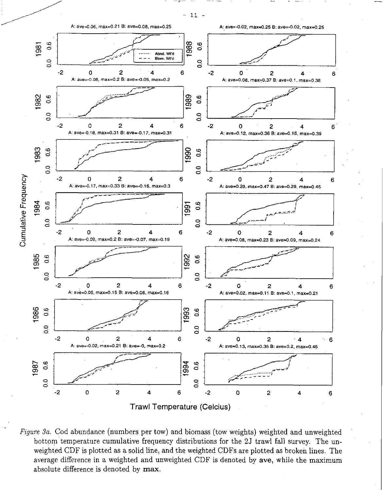$-11 -$ 



*Figure 3a.* Cod abundance (numbers per tow) and biomass (tow weights) weighted and unweighted bottom temperature cumulative frequency distributions for the 2J trawl fall survey. The unweighted CDF is plotted as a solid line, and the weighted CDFs are plotted as broken lines. The average difference in a weighted and unweighted CDF is denoted by ave, while the maximum absolute difference is denoted by max.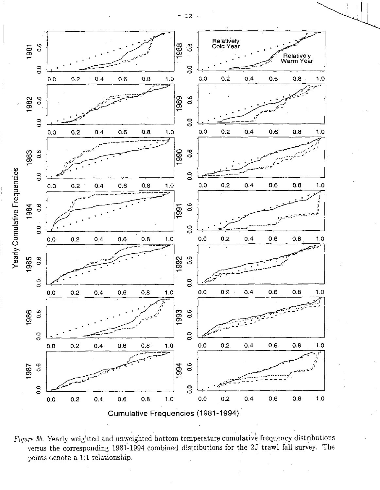$- 12 -$ 



*Figure 36.* Yearly weighted and unweighted bottom temperature cumulative frequency distributions versus the corresponding 1981-1994 combined distributions for the 2J trawl fall survey. The points denote a 1:1 relationship.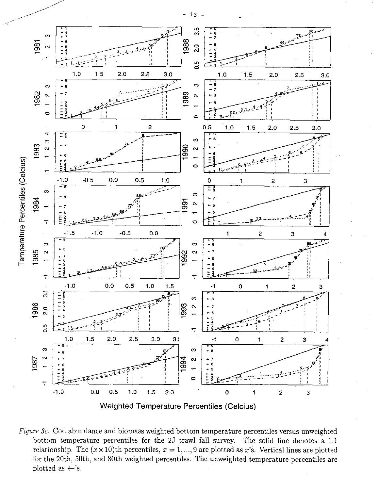

Figure 3c. Cod abundance and biomass weighted bottom temperature percentiles versus unweighted bottom temperature percentiles for the 2J trawl fall survey. The solid line denotes a 1:1 relationship. The  $(x \times 10)$ th percentiles,  $x = 1, ..., 9$  are plotted as x's. Vertical lines are plotted for the 20th, 50th, and 80th weighted percentiles. The unweighted temperature percentiles are plotted as  $\leftarrow$ 's.

 $-13 -$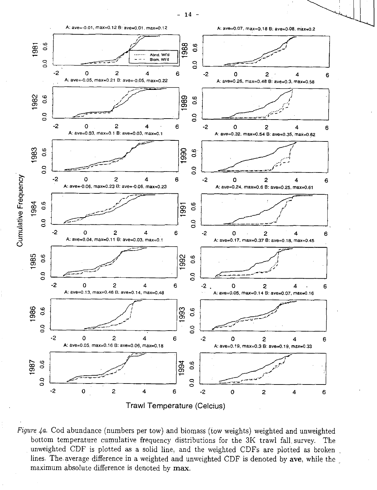

*Figure 4a.* Cod abundance (numbers per tow) and biomass (tow weights) weighted and unweighted bottom temperature cumulative frequency distributions for the 3K trawl fall survey. The unweighted CDF is plotted as a solid line, and the weighted CDFs are plotted as broken lines. The average difference in a weighted and unweighted CDF is denoted by ave, while the maximum absolute difference is denoted by max.

- 14 -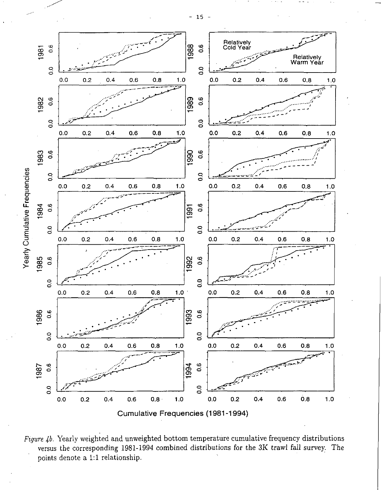$-15 -$ 



Figure 4b. Yearly weighted and unweighted bottom temperature cumulative frequency distributions versus the corresponding 1981-1994 combined distributions for the 3K trawl fall survey. The points denote a 1:1 relationship.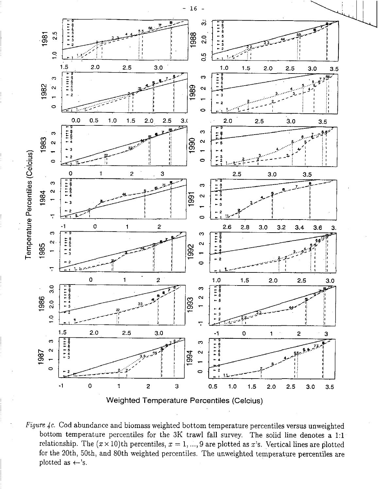

*Figure 4c.* Cod abundance and biomass weighted bottom temperature percentiles versus unweighted bottom temperature percentiles for the 3K trawl fall survey. The solid line denotes a 1:1 relationship. The  $(x \times 10)$ th percentiles,  $x = 1, ..., 9$  are plotted as x's. Vertical lines are plotted for the 20th, 50th, and 80th weighted percentiles. The unweighted temperature percentiles are plotted as  $\leftarrow$ 's.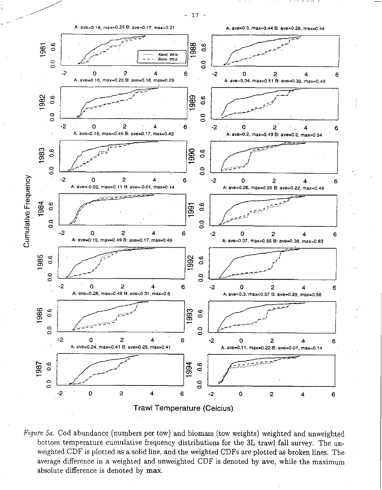

 $17 \overline{\phantom{a}}$ 

**Trawl Temperature (Celcius)** 

Figure 5a. Cod abundance (numbers per tow) and biomass (tow weights) weighted and unweighted bottom temperature cumulative frequency distributions for the 3L trawl fall survey. The unweighted CDF is plotted as a solid line, and the weighted CDFs are plotted as broken lines. The average difference in a weighted and unweighted CDF is denoted by ave, while the maximum absolute difference is denoted by max.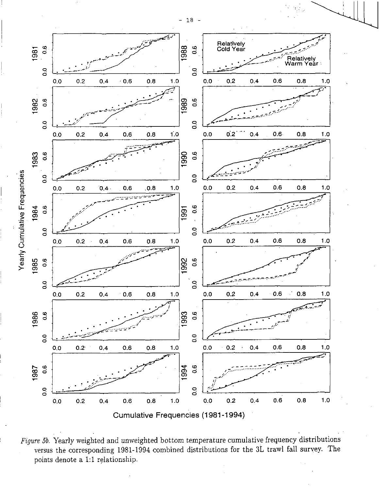

*Figure 5b.* Yearly weighted and unweighted bottom temperature cumulative frequency distributions versus the corresponding 1981-1994 combined distributions for the 3L trawl fall survey. The points denote a 1:1 relationship.

- 18 -